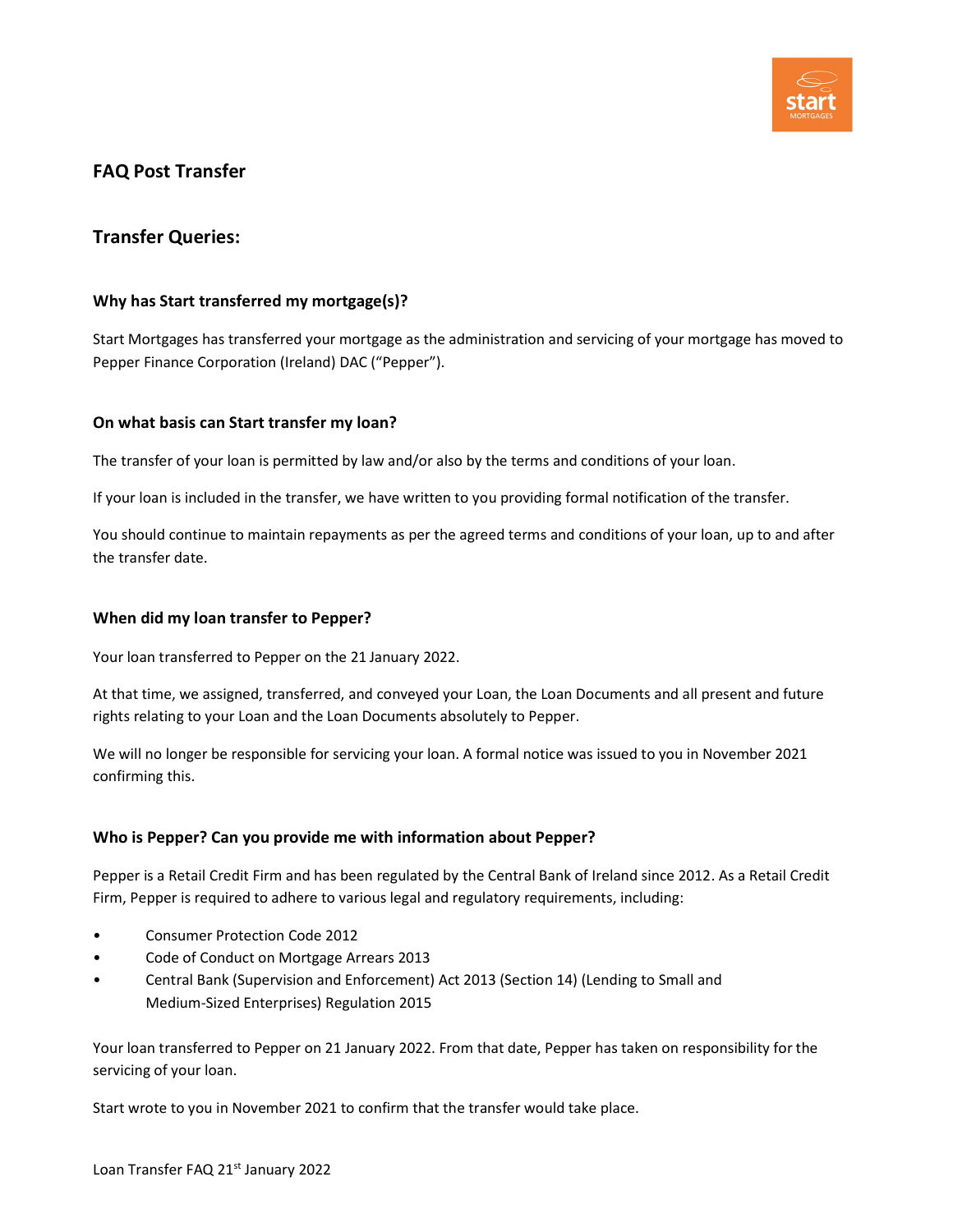

# FAQ Post Transfer

## Transfer Queries:

### Why has Start transferred my mortgage(s)?

Start Mortgages has transferred your mortgage as the administration and servicing of your mortgage has moved to Pepper Finance Corporation (Ireland) DAC ("Pepper").

### On what basis can Start transfer my loan?

The transfer of your loan is permitted by law and/or also by the terms and conditions of your loan.

If your loan is included in the transfer, we have written to you providing formal notification of the transfer.

You should continue to maintain repayments as per the agreed terms and conditions of your loan, up to and after the transfer date.

### When did my loan transfer to Pepper?

Your loan transferred to Pepper on the 21 January 2022.

At that time, we assigned, transferred, and conveyed your Loan, the Loan Documents and all present and future rights relating to your Loan and the Loan Documents absolutely to Pepper.

We will no longer be responsible for servicing your loan. A formal notice was issued to you in November 2021 confirming this.

### Who is Pepper? Can you provide me with information about Pepper?

Pepper is a Retail Credit Firm and has been regulated by the Central Bank of Ireland since 2012. As a Retail Credit Firm, Pepper is required to adhere to various legal and regulatory requirements, including:

- Consumer Protection Code 2012
- Code of Conduct on Mortgage Arrears 2013
- Central Bank (Supervision and Enforcement) Act 2013 (Section 14) (Lending to Small and Medium-Sized Enterprises) Regulation 2015

Your loan transferred to Pepper on 21 January 2022. From that date, Pepper has taken on responsibility for the servicing of your loan.

Start wrote to you in November 2021 to confirm that the transfer would take place.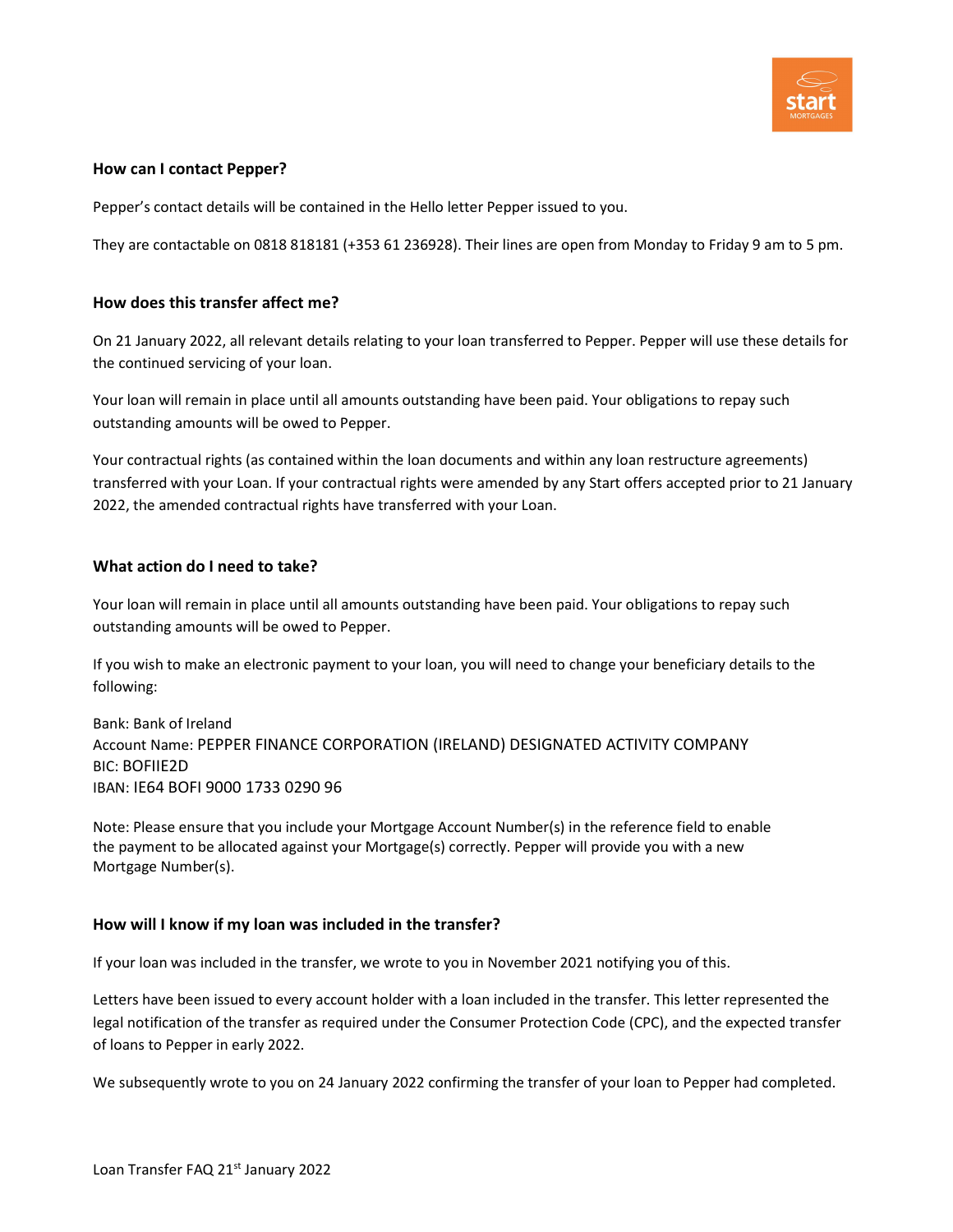

### How can I contact Pepper?

Pepper's contact details will be contained in the Hello letter Pepper issued to you.

They are contactable on 0818 818181 (+353 61 236928). Their lines are open from Monday to Friday 9 am to 5 pm.

### How does this transfer affect me?

On 21 January 2022, all relevant details relating to your loan transferred to Pepper. Pepper will use these details for the continued servicing of your loan.

Your loan will remain in place until all amounts outstanding have been paid. Your obligations to repay such outstanding amounts will be owed to Pepper.

Your contractual rights (as contained within the loan documents and within any loan restructure agreements) transferred with your Loan. If your contractual rights were amended by any Start offers accepted prior to 21 January 2022, the amended contractual rights have transferred with your Loan.

### What action do I need to take?

Your loan will remain in place until all amounts outstanding have been paid. Your obligations to repay such outstanding amounts will be owed to Pepper.

If you wish to make an electronic payment to your loan, you will need to change your beneficiary details to the following:

Bank: Bank of Ireland Account Name: PEPPER FINANCE CORPORATION (IRELAND) DESIGNATED ACTIVITY COMPANY BIC: BOFIIE2D IBAN: IE64 BOFI 9000 1733 0290 96

Note: Please ensure that you include your Mortgage Account Number(s) in the reference field to enable the payment to be allocated against your Mortgage(s) correctly. Pepper will provide you with a new Mortgage Number(s).

### How will I know if my loan was included in the transfer?

If your loan was included in the transfer, we wrote to you in November 2021 notifying you of this.

Letters have been issued to every account holder with a loan included in the transfer. This letter represented the legal notification of the transfer as required under the Consumer Protection Code (CPC), and the expected transfer of loans to Pepper in early 2022.

We subsequently wrote to you on 24 January 2022 confirming the transfer of your loan to Pepper had completed.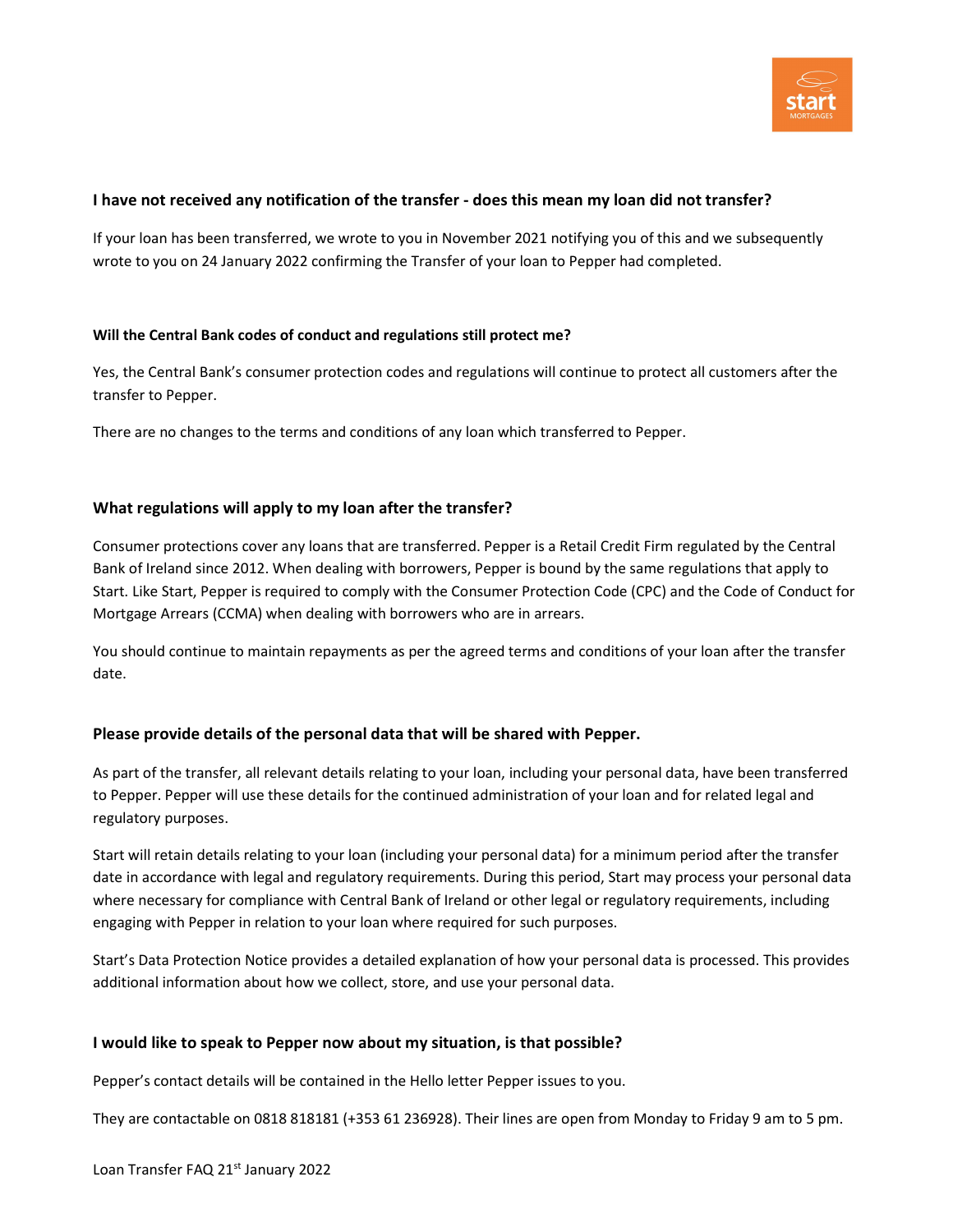

## I have not received any notification of the transfer - does this mean my loan did not transfer?

If your loan has been transferred, we wrote to you in November 2021 notifying you of this and we subsequently wrote to you on 24 January 2022 confirming the Transfer of your loan to Pepper had completed.

### Will the Central Bank codes of conduct and regulations still protect me?

Yes, the Central Bank's consumer protection codes and regulations will continue to protect all customers after the transfer to Pepper.

There are no changes to the terms and conditions of any loan which transferred to Pepper.

### What regulations will apply to my loan after the transfer?

Consumer protections cover any loans that are transferred. Pepper is a Retail Credit Firm regulated by the Central Bank of Ireland since 2012. When dealing with borrowers, Pepper is bound by the same regulations that apply to Start. Like Start, Pepper is required to comply with the Consumer Protection Code (CPC) and the Code of Conduct for Mortgage Arrears (CCMA) when dealing with borrowers who are in arrears.

You should continue to maintain repayments as per the agreed terms and conditions of your loan after the transfer date.

### Please provide details of the personal data that will be shared with Pepper.

As part of the transfer, all relevant details relating to your loan, including your personal data, have been transferred to Pepper. Pepper will use these details for the continued administration of your loan and for related legal and regulatory purposes.

Start will retain details relating to your loan (including your personal data) for a minimum period after the transfer date in accordance with legal and regulatory requirements. During this period, Start may process your personal data where necessary for compliance with Central Bank of Ireland or other legal or regulatory requirements, including engaging with Pepper in relation to your loan where required for such purposes.

Start's Data Protection Notice provides a detailed explanation of how your personal data is processed. This provides additional information about how we collect, store, and use your personal data.

### I would like to speak to Pepper now about my situation, is that possible?

Pepper's contact details will be contained in the Hello letter Pepper issues to you.

They are contactable on 0818 818181 (+353 61 236928). Their lines are open from Monday to Friday 9 am to 5 pm.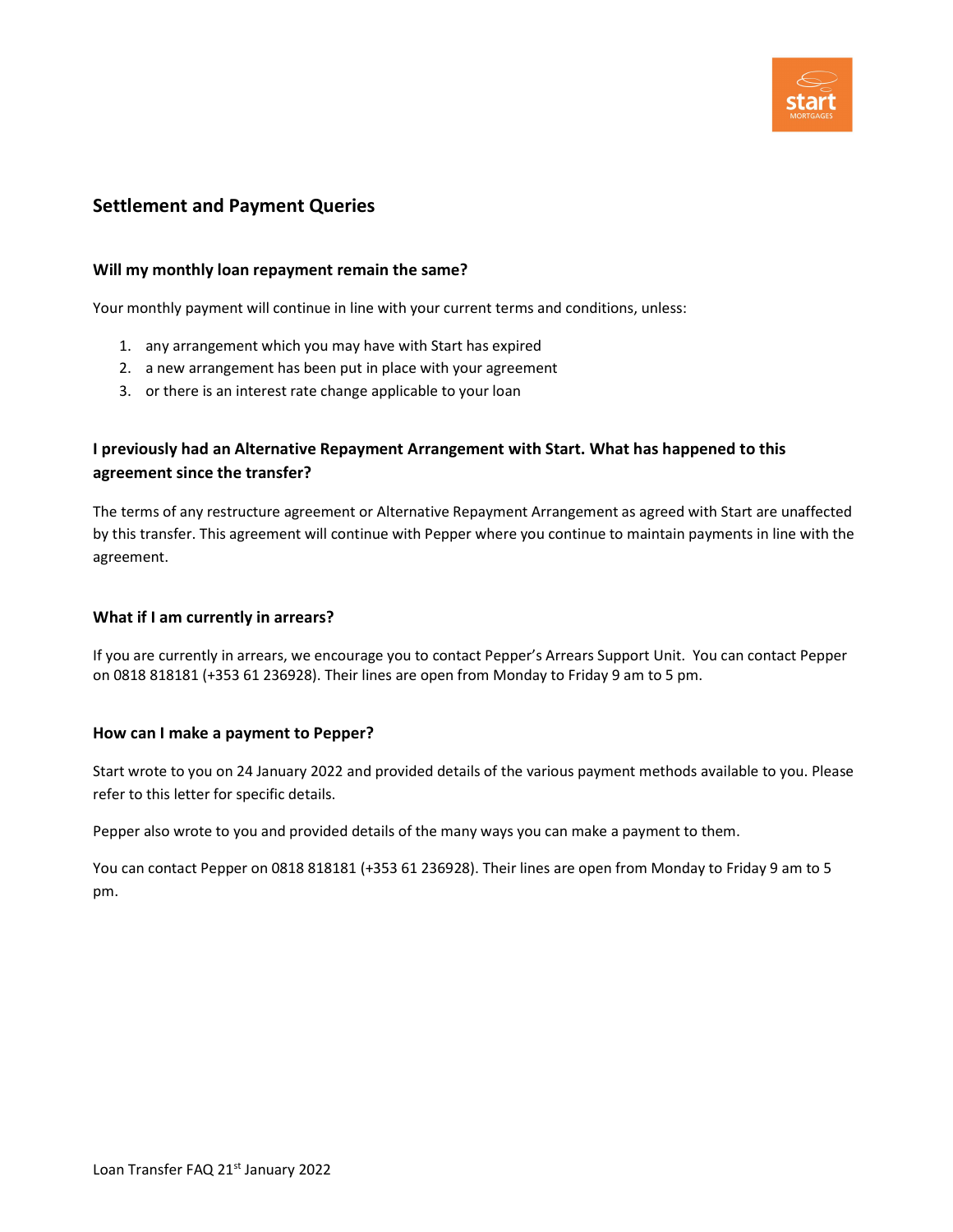

## Settlement and Payment Queries

### Will my monthly loan repayment remain the same?

Your monthly payment will continue in line with your current terms and conditions, unless:

- 1. any arrangement which you may have with Start has expired
- 2. a new arrangement has been put in place with your agreement
- 3. or there is an interest rate change applicable to your loan

## I previously had an Alternative Repayment Arrangement with Start. What has happened to this agreement since the transfer?

The terms of any restructure agreement or Alternative Repayment Arrangement as agreed with Start are unaffected by this transfer. This agreement will continue with Pepper where you continue to maintain payments in line with the agreement.

### What if I am currently in arrears?

If you are currently in arrears, we encourage you to contact Pepper's Arrears Support Unit. You can contact Pepper on 0818 818181 (+353 61 236928). Their lines are open from Monday to Friday 9 am to 5 pm.

### How can I make a payment to Pepper?

Start wrote to you on 24 January 2022 and provided details of the various payment methods available to you. Please refer to this letter for specific details.

Pepper also wrote to you and provided details of the many ways you can make a payment to them.

You can contact Pepper on 0818 818181 (+353 61 236928). Their lines are open from Monday to Friday 9 am to 5 pm.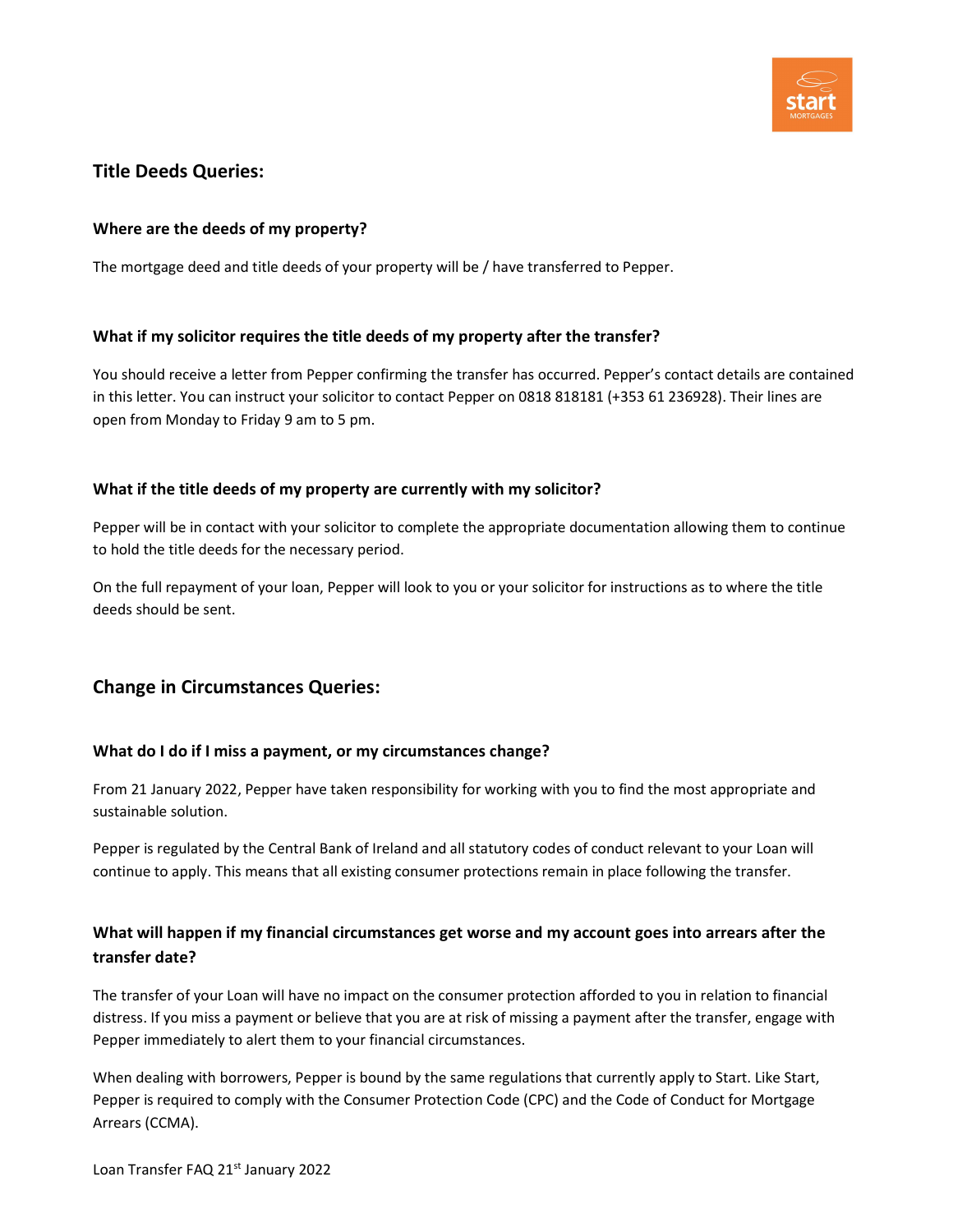

## Title Deeds Queries:

### Where are the deeds of my property?

The mortgage deed and title deeds of your property will be / have transferred to Pepper.

### What if my solicitor requires the title deeds of my property after the transfer?

You should receive a letter from Pepper confirming the transfer has occurred. Pepper's contact details are contained in this letter. You can instruct your solicitor to contact Pepper on 0818 818181 (+353 61 236928). Their lines are open from Monday to Friday 9 am to 5 pm.

### What if the title deeds of my property are currently with my solicitor?

Pepper will be in contact with your solicitor to complete the appropriate documentation allowing them to continue to hold the title deeds for the necessary period.

On the full repayment of your loan, Pepper will look to you or your solicitor for instructions as to where the title deeds should be sent.

# Change in Circumstances Queries:

### What do I do if I miss a payment, or my circumstances change?

From 21 January 2022, Pepper have taken responsibility for working with you to find the most appropriate and sustainable solution.

Pepper is regulated by the Central Bank of Ireland and all statutory codes of conduct relevant to your Loan will continue to apply. This means that all existing consumer protections remain in place following the transfer.

## What will happen if my financial circumstances get worse and my account goes into arrears after the transfer date?

The transfer of your Loan will have no impact on the consumer protection afforded to you in relation to financial distress. If you miss a payment or believe that you are at risk of missing a payment after the transfer, engage with Pepper immediately to alert them to your financial circumstances.

When dealing with borrowers, Pepper is bound by the same regulations that currently apply to Start. Like Start, Pepper is required to comply with the Consumer Protection Code (CPC) and the Code of Conduct for Mortgage Arrears (CCMA).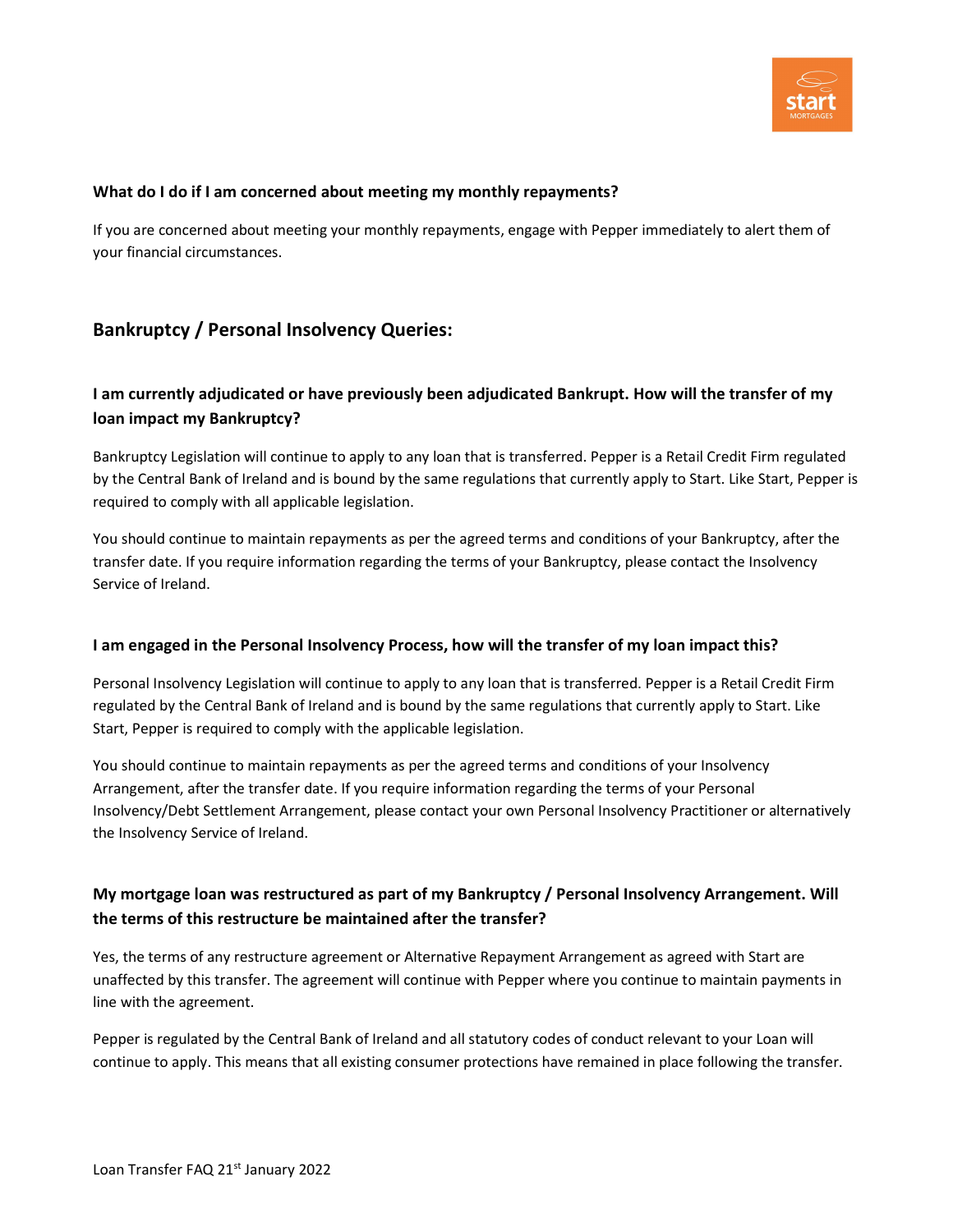

### What do I do if I am concerned about meeting my monthly repayments?

If you are concerned about meeting your monthly repayments, engage with Pepper immediately to alert them of your financial circumstances.

## Bankruptcy / Personal Insolvency Queries:

## I am currently adjudicated or have previously been adjudicated Bankrupt. How will the transfer of my loan impact my Bankruptcy?

Bankruptcy Legislation will continue to apply to any loan that is transferred. Pepper is a Retail Credit Firm regulated by the Central Bank of Ireland and is bound by the same regulations that currently apply to Start. Like Start, Pepper is required to comply with all applicable legislation.

You should continue to maintain repayments as per the agreed terms and conditions of your Bankruptcy, after the transfer date. If you require information regarding the terms of your Bankruptcy, please contact the Insolvency Service of Ireland.

### I am engaged in the Personal Insolvency Process, how will the transfer of my loan impact this?

Personal Insolvency Legislation will continue to apply to any loan that is transferred. Pepper is a Retail Credit Firm regulated by the Central Bank of Ireland and is bound by the same regulations that currently apply to Start. Like Start, Pepper is required to comply with the applicable legislation.

You should continue to maintain repayments as per the agreed terms and conditions of your Insolvency Arrangement, after the transfer date. If you require information regarding the terms of your Personal Insolvency/Debt Settlement Arrangement, please contact your own Personal Insolvency Practitioner or alternatively the Insolvency Service of Ireland.

# My mortgage loan was restructured as part of my Bankruptcy / Personal Insolvency Arrangement. Will the terms of this restructure be maintained after the transfer?

Yes, the terms of any restructure agreement or Alternative Repayment Arrangement as agreed with Start are unaffected by this transfer. The agreement will continue with Pepper where you continue to maintain payments in line with the agreement.

Pepper is regulated by the Central Bank of Ireland and all statutory codes of conduct relevant to your Loan will continue to apply. This means that all existing consumer protections have remained in place following the transfer.